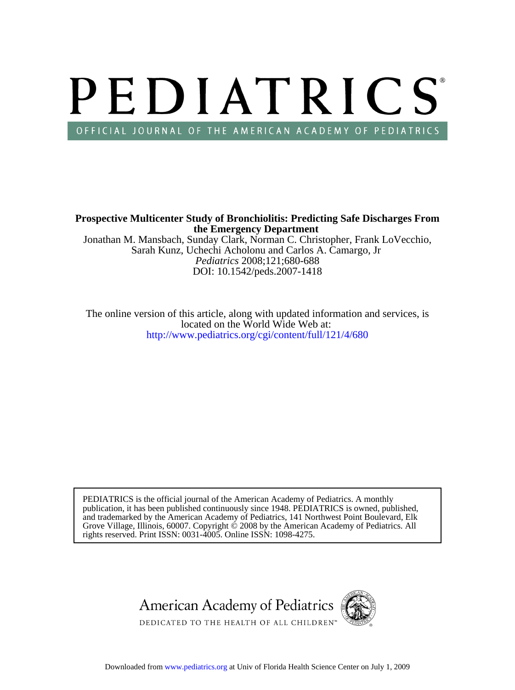# PEDIATRICS OFFICIAL JOURNAL OF THE AMERICAN ACADEMY OF PEDIATRICS

**the Emergency Department Prospective Multicenter Study of Bronchiolitis: Predicting Safe Discharges From**

DOI: 10.1542/peds.2007-1418 *Pediatrics* 2008;121;680-688 Sarah Kunz, Uchechi Acholonu and Carlos A. Camargo, Jr Jonathan M. Mansbach, Sunday Clark, Norman C. Christopher, Frank LoVecchio,

<http://www.pediatrics.org/cgi/content/full/121/4/680> located on the World Wide Web at: The online version of this article, along with updated information and services, is

rights reserved. Print ISSN: 0031-4005. Online ISSN: 1098-4275. Grove Village, Illinois, 60007. Copyright  $\ddot{\odot}$  2008 by the American Academy of Pediatrics. All and trademarked by the American Academy of Pediatrics, 141 Northwest Point Boulevard, Elk publication, it has been published continuously since 1948. PEDIATRICS is owned, published, PEDIATRICS is the official journal of the American Academy of Pediatrics. A monthly

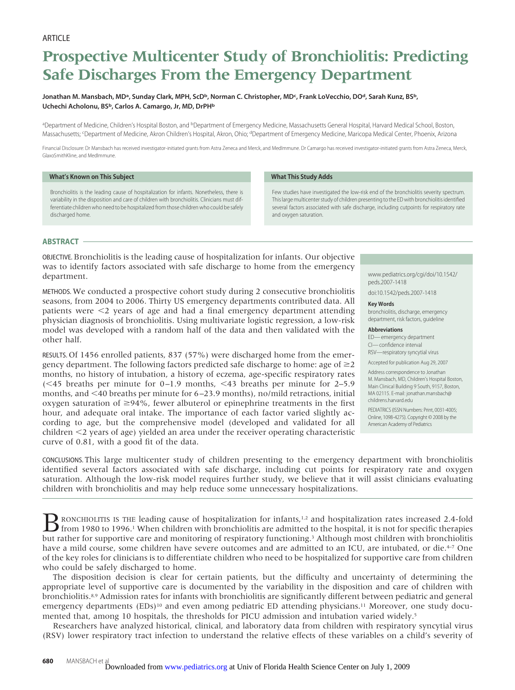# **Prospective Multicenter Study of Bronchiolitis: Predicting Safe Discharges From the Emergency Department**

# Jonathan M. Mansbach, MDª, Sunday Clark, MPH, ScD<sup>b</sup>, Norman C. Christopher, MD<sup>c</sup>, Frank LoVecchio, DOª, Sarah Kunz, BS<sup>b</sup>, Uchechi Acholonu, BS<sup>b</sup>, Carlos A. Camargo, Jr, MD, DrPH<sup>b</sup>

aDepartment of Medicine, Children's Hospital Boston, and <sup>b</sup>Department of Emergency Medicine, Massachusetts General Hospital, Harvard Medical School, Boston, Massachusetts; <sup>c</sup>Department of Medicine, Akron Children's Hospital, Akron, Ohio; <sup>d</sup>Department of Emergency Medicine, Maricopa Medical Center, Phoenix, Arizona

Financial Disclosure: Dr Mansbach has received investigator-initiated grants from Astra Zeneca and Merck, and MedImmune. Dr Camargo has received investigator-initiated grants from Astra Zeneca, Merck, GlaxoSmithKline, and MedImmune.

**What This Study Adds**

# **What's Known on This Subject**

Bronchiolitis is the leading cause of hospitalization for infants. Nonetheless, there is variability in the disposition and care of children with bronchiolitis. Clinicians must differentiate children who need to be hospitalized from those children who could be safely discharged home.

Few studies have investigated the low-risk end of the bronchiolitis severity spectrum. This large multicenter study of children presenting to the ED with bronchiolitis identified several factors associated with safe discharge, including cutpoints for respiratory rate and oxygen saturation.

# **ABSTRACT**

OBJECTIVE. Bronchiolitis is the leading cause of hospitalization for infants. Our objective was to identify factors associated with safe discharge to home from the emergency department.

METHODS. We conducted a prospective cohort study during 2 consecutive bronchiolitis seasons, from 2004 to 2006. Thirty US emergency departments contributed data. All patients were  $\leq$  years of age and had a final emergency department attending physician diagnosis of bronchiolitis. Using multivariate logistic regression, a low-risk model was developed with a random half of the data and then validated with the other half.

RESULTS. Of 1456 enrolled patients, 837 (57%) were discharged home from the emergency department. The following factors predicted safe discharge to home: age of  $\geq 2$ months, no history of intubation, a history of eczema, age-specific respiratory rates  $( $45$  breaths per minute for 0–1.9 months,  $$43$  breaths per minute for 2–5.9$$ months, and 40 breaths per minute for 6 –23.9 months), no/mild retractions, initial oxygen saturation of  $\geq$ 94%, fewer albuterol or epinephrine treatments in the first hour, and adequate oral intake. The importance of each factor varied slightly according to age, but the comprehensive model (developed and validated for all children  $\leq$ 2 years of age) yielded an area under the receiver operating characteristic curve of 0.81, with a good fit of the data.

### www.pediatrics.org/cgi/doi/10.1542/ peds.2007-1418

doi:10.1542/peds.2007-1418

#### **Key Words**

bronchiolitis, discharge, emergency department, risk factors, guideline

#### **Abbreviations**

ED— emergency department CI— confidence interval RSV—respiratory syncytial virus

Accepted for publication Aug 29, 2007

Address correspondence to Jonathan M. Mansbach, MD, Children's Hospital Boston, Main Clinical Building 9 South, 9157, Boston, MA 02115. E-mail: jonathan.mansbach@ childrens.harvard.edu

PEDIATRICS (ISSN Numbers: Print, 0031-4005; Online, 1098-4275). Copyright © 2008 by the American Academy of Pediatrics

CONCLUSIONS. This large multicenter study of children presenting to the emergency department with bronchiolitis identified several factors associated with safe discharge, including cut points for respiratory rate and oxygen saturation. Although the low-risk model requires further study, we believe that it will assist clinicians evaluating children with bronchiolitis and may help reduce some unnecessary hospitalizations.

B RONCHIOLITIS IS THE leading cause of hospitalization for infants,<sup>1,2</sup> and hospitalization rates increased 2.4-fold<br>from 1980 to 1996.<sup>1</sup> When children with bronchiolitis are admitted to the hospital, it is not for speci but rather for supportive care and monitoring of respiratory functioning.<sup>3</sup> Although most children with bronchiolitis have a mild course, some children have severe outcomes and are admitted to an ICU, are intubated, or die.<sup>4-7</sup> One of the key roles for clinicians is to differentiate children who need to be hospitalized for supportive care from children who could be safely discharged to home.

The disposition decision is clear for certain patients, but the difficulty and uncertainty of determining the appropriate level of supportive care is documented by the variability in the disposition and care of children with bronchiolitis.8,9 Admission rates for infants with bronchiolitis are significantly different between pediatric and general emergency departments  $(EDs)^{10}$  and even among pediatric ED attending physicians.<sup>11</sup> Moreover, one study documented that, among 10 hospitals, the thresholds for PICU admission and intubation varied widely.5

Researchers have analyzed historical, clinical, and laboratory data from children with respiratory syncytial virus (RSV) lower respiratory tract infection to understand the relative effects of these variables on a child's severity of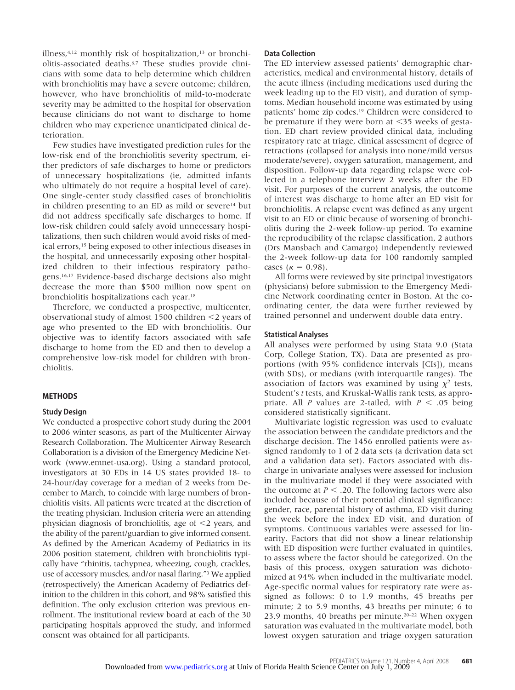illness, $4,12$  monthly risk of hospitalization, $13$  or bronchiolitis-associated deaths.6,7 These studies provide clinicians with some data to help determine which children with bronchiolitis may have a severe outcome; children, however, who have bronchiolitis of mild-to-moderate severity may be admitted to the hospital for observation because clinicians do not want to discharge to home children who may experience unanticipated clinical deterioration.

Few studies have investigated prediction rules for the low-risk end of the bronchiolitis severity spectrum, either predictors of safe discharges to home or predictors of unnecessary hospitalizations (ie, admitted infants who ultimately do not require a hospital level of care). One single-center study classified cases of bronchiolitis in children presenting to an ED as mild or severe<sup>14</sup> but did not address specifically safe discharges to home. If low-risk children could safely avoid unnecessary hospitalizations, then such children would avoid risks of medical errors,15 being exposed to other infectious diseases in the hospital, and unnecessarily exposing other hospitalized children to their infectious respiratory pathogens.16,17 Evidence-based discharge decisions also might decrease the more than \$500 million now spent on bronchiolitis hospitalizations each year.18

Therefore, we conducted a prospective, multicenter, observational study of almost 1500 children  $\leq$  years of age who presented to the ED with bronchiolitis. Our objective was to identify factors associated with safe discharge to home from the ED and then to develop a comprehensive low-risk model for children with bronchiolitis.

# **METHODS**

# **Study Design**

We conducted a prospective cohort study during the 2004 to 2006 winter seasons, as part of the Multicenter Airway Research Collaboration. The Multicenter Airway Research Collaboration is a division of the Emergency Medicine Network (www.emnet-usa.org). Using a standard protocol, investigators at 30 EDs in 14 US states provided 18- to 24-hour/day coverage for a median of 2 weeks from December to March, to coincide with large numbers of bronchiolitis visits. All patients were treated at the discretion of the treating physician. Inclusion criteria were an attending physician diagnosis of bronchiolitis, age of  $\leq$  years, and the ability of the parent/guardian to give informed consent. As defined by the American Academy of Pediatrics in its 2006 position statement, children with bronchiolitis typically have "rhinitis, tachypnea, wheezing, cough, crackles, use of accessory muscles, and/or nasal flaring."3 We applied (retrospectively) the American Academy of Pediatrics definition to the children in this cohort, and 98% satisfied this definition. The only exclusion criterion was previous enrollment. The institutional review board at each of the 30 participating hospitals approved the study, and informed consent was obtained for all participants.

# **Data Collection**

The ED interview assessed patients' demographic characteristics, medical and environmental history, details of the acute illness (including medications used during the week leading up to the ED visit), and duration of symptoms. Median household income was estimated by using patients' home zip codes.19 Children were considered to be premature if they were born at  $\leq$ 35 weeks of gestation. ED chart review provided clinical data, including respiratory rate at triage, clinical assessment of degree of retractions (collapsed for analysis into none/mild versus moderate/severe), oxygen saturation, management, and disposition. Follow-up data regarding relapse were collected in a telephone interview 2 weeks after the ED visit. For purposes of the current analysis, the outcome of interest was discharge to home after an ED visit for bronchiolitis. A relapse event was defined as any urgent visit to an ED or clinic because of worsening of bronchiolitis during the 2-week follow-up period. To examine the reproducibility of the relapse classification, 2 authors (Drs Mansbach and Camargo) independently reviewed the 2-week follow-up data for 100 randomly sampled cases ( $\kappa = 0.98$ ).

All forms were reviewed by site principal investigators (physicians) before submission to the Emergency Medicine Network coordinating center in Boston. At the coordinating center, the data were further reviewed by trained personnel and underwent double data entry.

# **Statistical Analyses**

All analyses were performed by using Stata 9.0 (Stata Corp, College Station, TX). Data are presented as proportions (with 95% confidence intervals [CIs]), means (with SDs), or medians (with interquartile ranges). The association of factors was examined by using  $\chi^2$  tests, Student's *t* tests, and Kruskal-Wallis rank tests, as appropriate. All *P* values are 2-tailed, with  $P < .05$  being considered statistically significant.

Multivariate logistic regression was used to evaluate the association between the candidate predictors and the discharge decision. The 1456 enrolled patients were assigned randomly to 1 of 2 data sets (a derivation data set and a validation data set). Factors associated with discharge in univariate analyses were assessed for inclusion in the multivariate model if they were associated with the outcome at  $P \leq 0.20$ . The following factors were also included because of their potential clinical significance: gender, race, parental history of asthma, ED visit during the week before the index ED visit, and duration of symptoms. Continuous variables were assessed for linearity. Factors that did not show a linear relationship with ED disposition were further evaluated in quintiles, to assess where the factor should be categorized. On the basis of this process, oxygen saturation was dichotomized at 94% when included in the multivariate model. Age-specific normal values for respiratory rate were assigned as follows: 0 to 1.9 months, 45 breaths per minute; 2 to 5.9 months, 43 breaths per minute; 6 to 23.9 months, 40 breaths per minute.20–22 When oxygen saturation was evaluated in the multivariate model, both lowest oxygen saturation and triage oxygen saturation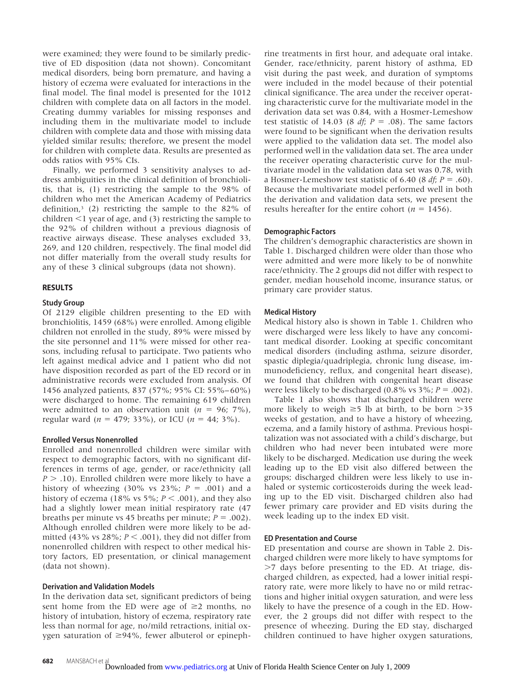were examined; they were found to be similarly predictive of ED disposition (data not shown). Concomitant medical disorders, being born premature, and having a history of eczema were evaluated for interactions in the final model. The final model is presented for the 1012 children with complete data on all factors in the model. Creating dummy variables for missing responses and including them in the multivariate model to include children with complete data and those with missing data yielded similar results; therefore, we present the model for children with complete data. Results are presented as odds ratios with 95% CIs.

Finally, we performed 3 sensitivity analyses to address ambiguities in the clinical definition of bronchiolitis, that is, (1) restricting the sample to the 98% of children who met the American Academy of Pediatrics definition,<sup>3</sup> (2) restricting the sample to the  $82\%$  of children  $\leq 1$  year of age, and (3) restricting the sample to the 92% of children without a previous diagnosis of reactive airways disease. These analyses excluded 33, 269, and 120 children, respectively. The final model did not differ materially from the overall study results for any of these 3 clinical subgroups (data not shown).

# **RESULTS**

# **Study Group**

Of 2129 eligible children presenting to the ED with bronchiolitis, 1459 (68%) were enrolled. Among eligible children not enrolled in the study, 89% were missed by the site personnel and 11% were missed for other reasons, including refusal to participate. Two patients who left against medical advice and 1 patient who did not have disposition recorded as part of the ED record or in administrative records were excluded from analysis. Of 1456 analyzed patients, 837 (57%; 95% CI: 55%– 60%) were discharged to home. The remaining 619 children were admitted to an observation unit  $(n = 96; 7\%)$ , regular ward ( $n = 479$ ; 33%), or ICU ( $n = 44$ ; 3%).

# **Enrolled Versus Nonenrolled**

Enrolled and nonenrolled children were similar with respect to demographic factors, with no significant differences in terms of age, gender, or race/ethnicity (all  $P > .10$ ). Enrolled children were more likely to have a history of wheezing  $(30\% \text{ vs } 23\%; P = .001)$  and a history of eczema (18% vs 5%;  $P < .001$ ), and they also had a slightly lower mean initial respiratory rate (47 breaths per minute vs 45 breaths per minute;  $P = .002$ ). Although enrolled children were more likely to be admitted (43% vs  $28\%$ ;  $P \leq .001$ ), they did not differ from nonenrolled children with respect to other medical history factors, ED presentation, or clinical management (data not shown).

# **Derivation and Validation Models**

In the derivation data set, significant predictors of being sent home from the ED were age of  $\geq 2$  months, no history of intubation, history of eczema, respiratory rate less than normal for age, no/mild retractions, initial oxygen saturation of  $\geq$ 94%, fewer albuterol or epinephrine treatments in first hour, and adequate oral intake. Gender, race/ethnicity, parent history of asthma, ED visit during the past week, and duration of symptoms were included in the model because of their potential clinical significance. The area under the receiver operating characteristic curve for the multivariate model in the derivation data set was 0.84, with a Hosmer-Lemeshow test statistic of 14.03 (8  $df$ ;  $P = .08$ ). The same factors were found to be significant when the derivation results were applied to the validation data set. The model also performed well in the validation data set. The area under the receiver operating characteristic curve for the multivariate model in the validation data set was 0.78, with a Hosmer-Lemeshow test statistic of 6.40 (8  $df$ ;  $P = .60$ ). Because the multivariate model performed well in both the derivation and validation data sets, we present the results hereafter for the entire cohort ( $n = 1456$ ).

# **Demographic Factors**

The children's demographic characteristics are shown in Table 1. Discharged children were older than those who were admitted and were more likely to be of nonwhite race/ethnicity. The 2 groups did not differ with respect to gender, median household income, insurance status, or primary care provider status.

# **Medical History**

Medical history also is shown in Table 1. Children who were discharged were less likely to have any concomitant medical disorder. Looking at specific concomitant medical disorders (including asthma, seizure disorder, spastic diplegia/quadriplegia, chronic lung disease, immunodeficiency, reflux, and congenital heart disease), we found that children with congenital heart disease were less likely to be discharged  $(0.8\% \text{ vs } 3\%; P = .002)$ .

Table 1 also shows that discharged children were more likely to weigh  $\geq$  5 lb at birth, to be born  $>$ 35 weeks of gestation, and to have a history of wheezing, eczema, and a family history of asthma. Previous hospitalization was not associated with a child's discharge, but children who had never been intubated were more likely to be discharged. Medication use during the week leading up to the ED visit also differed between the groups; discharged children were less likely to use inhaled or systemic corticosteroids during the week leading up to the ED visit. Discharged children also had fewer primary care provider and ED visits during the week leading up to the index ED visit.

# **ED Presentation and Course**

ED presentation and course are shown in Table 2. Discharged children were more likely to have symptoms for  $>7$  days before presenting to the ED. At triage, discharged children, as expected, had a lower initial respiratory rate, were more likely to have no or mild retractions and higher initial oxygen saturation, and were less likely to have the presence of a cough in the ED. However, the 2 groups did not differ with respect to the presence of wheezing. During the ED stay, discharged children continued to have higher oxygen saturations,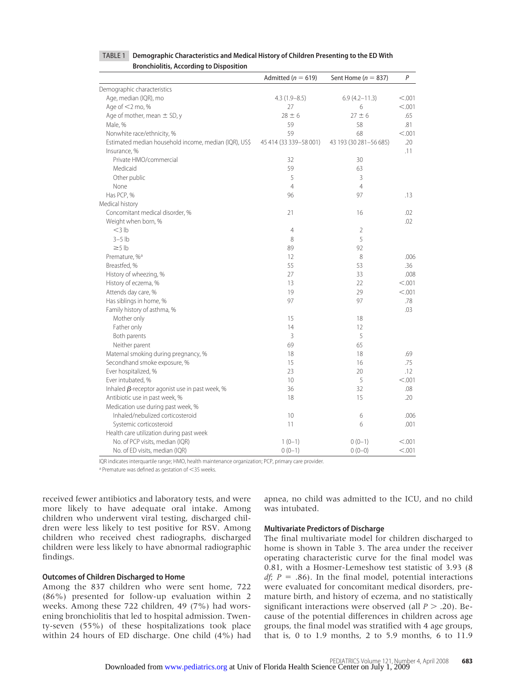|                                                       | Admitted ( $n = 619$ )   | Sent Home ( $n = 837$ ) | P       |
|-------------------------------------------------------|--------------------------|-------------------------|---------|
| Demographic characteristics                           |                          |                         |         |
| Age, median (IQR), mo                                 | $4.3(1.9 - 8.5)$         | $6.9(4.2 - 11.3)$       | < 0.001 |
| Age of $<$ 2 mo, %                                    | 27                       | 6                       | < 0.001 |
| Age of mother, mean $\pm$ SD, y                       | $28 \pm 6$               | $27 \pm 6$              | .65     |
| Male, %                                               | 59                       | 58                      | .81     |
| Nonwhite race/ethnicity, %                            | 59                       | 68                      | < 0.001 |
| Estimated median household income, median (IQR), US\$ | 45 414 (33 339 - 58 001) | 43 193 (30 281-56 685)  | .20     |
| Insurance, %                                          |                          |                         | .11     |
| Private HMO/commercial                                | 32                       | 30                      |         |
| Medicaid                                              | 59                       | 63                      |         |
| Other public                                          | 5                        | 3                       |         |
| None                                                  | $\overline{4}$           | $\overline{4}$          |         |
| Has PCP, %                                            | 96                       | 97                      | .13     |
| Medical history                                       |                          |                         |         |
| Concomitant medical disorder, %                       | 21                       | 16                      | .02     |
| Weight when born, %                                   |                          |                         | .02     |
| $<$ 3 $ b $                                           | $\overline{4}$           | $\overline{2}$          |         |
| $3-5$ lb                                              | 8                        | 5                       |         |
| $\geq$ 5 lb                                           | 89                       | 92                      |         |
| Premature, % <sup>a</sup>                             | 12                       | 8                       | .006    |
| Breastfed, %                                          | 55                       | 53                      | .36     |
| History of wheezing, %                                | 27                       | 33                      | .008    |
| History of eczema, %                                  | 13                       | 22                      | < 0.001 |
| Attends day care, %                                   | 19                       | 29                      | < .001  |
| Has siblings in home, %                               | 97                       | 97                      | .78     |
| Family history of asthma, %                           |                          |                         | .03     |
| Mother only                                           | 15                       | 18                      |         |
| Father only                                           | 14                       | 12                      |         |
| Both parents                                          | 3                        | 5                       |         |
| Neither parent                                        | 69                       | 65                      |         |
| Maternal smoking during pregnancy, %                  | 18                       | 18                      | .69     |
| Secondhand smoke exposure, %                          | 15                       | 16                      | .75     |
| Ever hospitalized, %                                  | 23                       | 20                      | .12     |
| Ever intubated, %                                     | 10                       | 5                       | < 0.001 |
| Inhaled $\beta$ -receptor agonist use in past week, % | 36                       | 32                      | .08     |
| Antibiotic use in past week, %                        | 18                       | 15                      | .20     |
| Medication use during past week, %                    |                          |                         |         |
| Inhaled/nebulized corticosteroid                      | 10                       | 6                       | .006    |
| Systemic corticosteroid                               | 11                       | 6                       | .001    |
| Health care utilization during past week              |                          |                         |         |
| No. of PCP visits, median (IQR)                       | $1(0-1)$                 | $0(0-1)$                | < 0.001 |
| No. of ED visits, median (IQR)                        | $0(0-1)$                 | $0(0-0)$                | < 0.001 |

# TABLE 1 **Demographic Characteristics and Medical History of Children Presenting to the ED With Bronchiolitis, According to Disposition**

IQR indicates interquartile range; HMO, health maintenance organization; PCP, primary care provider.

a Premature was defined as gestation of <35 weeks.

received fewer antibiotics and laboratory tests, and were more likely to have adequate oral intake. Among children who underwent viral testing, discharged children were less likely to test positive for RSV. Among children who received chest radiographs, discharged children were less likely to have abnormal radiographic findings.

# **Outcomes of Children Discharged to Home**

Among the 837 children who were sent home, 722 (86%) presented for follow-up evaluation within 2 weeks. Among these 722 children, 49 (7%) had worsening bronchiolitis that led to hospital admission. Twenty-seven (55%) of these hospitalizations took place within 24 hours of ED discharge. One child (4%) had apnea, no child was admitted to the ICU, and no child was intubated.

# **Multivariate Predictors of Discharge**

The final multivariate model for children discharged to home is shown in Table 3. The area under the receiver operating characteristic curve for the final model was 0.81, with a Hosmer-Lemeshow test statistic of 3.93 (8 *df*;  $P = .86$ ). In the final model, potential interactions were evaluated for concomitant medical disorders, premature birth, and history of eczema, and no statistically significant interactions were observed (all  $P > .20$ ). Because of the potential differences in children across age groups, the final model was stratified with 4 age groups, that is, 0 to 1.9 months, 2 to 5.9 months, 6 to 11.9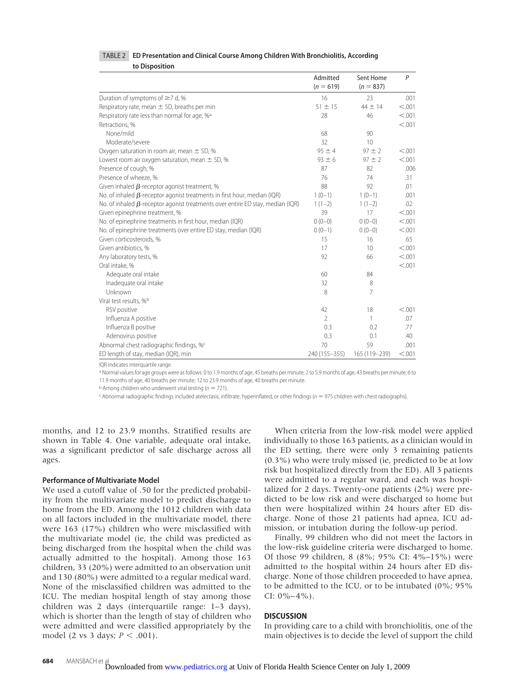# TABLE 2 **ED Presentation and Clinical Course Among Children With Bronchiolitis, According**

**to Disposition**

|                                                                                       | Admitted<br>$(n = 619)$ | Sent Home<br>$(n = 837)$ | P       |
|---------------------------------------------------------------------------------------|-------------------------|--------------------------|---------|
| Duration of symptoms of $\geq$ 7 d, %                                                 | 16                      | 23                       | .001    |
| Respiratory rate, mean $\pm$ SD, breaths per min                                      | $51 \pm 15$             | $44 \pm 14$              | < .001  |
| Respiratory rate less than normal for age, % <sup>a</sup>                             | 28                      | 46                       | < .001  |
| Retractions, %                                                                        |                         |                          | < 0.001 |
| None/mild                                                                             | 68                      | 90                       |         |
| Moderate/severe                                                                       | 32                      | 10                       |         |
| Oxygen saturation in room air, mean $\pm$ SD, %                                       | $95 \pm 4$              | $97 \pm 2$               | < 0.001 |
| Lowest room air oxygen saturation, mean $\pm$ SD, %                                   | $93 \pm 6$              | $97 \pm 2$               | < 0.001 |
| Presence of cough, %                                                                  | 87                      | 82                       | .006    |
| Presence of wheeze, %                                                                 | 76                      | 74                       | .31     |
| Given inhaled $\beta$ -receptor agonist treatment, %                                  | 88                      | 92                       | .01     |
| No. of inhaled $\beta$ -receptor agonist treatments in first hour, median (IQR)       | $1(0-1)$                | $1(0-1)$                 | .001    |
| No. of inhaled $\beta$ -receptor agonist treatments over entire ED stay, median (IQR) | $1(1-2)$                | $1(1-2)$                 | .02     |
| Given epinephrine treatment, %                                                        | 39                      | 17                       | < .001  |
| No. of epinephrine treatments in first hour, median (IQR)                             | $0(0-0)$                | $0(0-0)$                 | < 0.001 |
| No. of epinephrine treatments over entire ED stay, median (IQR)                       | $0(0-1)$                | $0(0-0)$                 | < .001  |
| Given corticosteroids, %                                                              | 15                      | 16                       | .65     |
| Given antibiotics, %                                                                  | 17                      | 10                       | < .001  |
| Any laboratory tests, %                                                               | 92                      | 66                       | < .001  |
| Oral intake, %                                                                        |                         |                          | < .001  |
| Adequate oral intake                                                                  | 60                      | 84                       |         |
| Inadequate oral intake                                                                | 32                      | 8                        |         |
| Unknown                                                                               | 8                       | 7                        |         |
| Viral test results, % <sup>b</sup>                                                    |                         |                          |         |
| RSV positive                                                                          | 42                      | 18                       | < 0.001 |
| Influenza A positive                                                                  | $\overline{2}$          | 1                        | .07     |
| Influenza B positive                                                                  | 0.3                     | 0.2                      | .77     |
| Adenovirus positive                                                                   | 0.3                     | 0.1                      | .40     |
| Abnormal chest radiographic findings, % <sup>c</sup>                                  | 70                      | 59                       | .001    |
| ED length of stay, median (IQR), min                                                  | 240 (155-355)           | 165 (119-239)            | < 0.001 |

IQR indicates interquartile range.

a Normal values for age groups were as follows: 0 to 1.9 months of age, 45 breaths per minute; 2 to 5.9 months of age, 43 breaths per minute; 6 to 11.9 months of age, 40 breaths per minute; 12 to 23.9 months of age, 40 breaths per minute.

 $b$  Among children who underwent viral testing ( $n = 721$ ).

 $c$  Abnormal radiographic findings included atelectasis, infiltrate, hyperinflated, or other findings ( $n = 975$  children with chest radiographs).

months, and 12 to 23.9 months. Stratified results are shown in Table 4. One variable, adequate oral intake, was a significant predictor of safe discharge across all ages.

# **Performance of Multivariate Model**

We used a cutoff value of .50 for the predicted probability from the multivariate model to predict discharge to home from the ED. Among the 1012 children with data on all factors included in the multivariate model, there were 163 (17%) children who were misclassified with the multivariate model (ie, the child was predicted as being discharged from the hospital when the child was actually admitted to the hospital). Among those 163 children, 33 (20%) were admitted to an observation unit and 130 (80%) were admitted to a regular medical ward. None of the misclassified children was admitted to the ICU. The median hospital length of stay among those children was 2 days (interquartile range: 1–3 days), which is shorter than the length of stay of children who were admitted and were classified appropriately by the model (2 vs 3 days;  $P < .001$ ).

When criteria from the low-risk model were applied individually to those 163 patients, as a clinician would in the ED setting, there were only 3 remaining patients (0.3%) who were truly missed (ie, predicted to be at low risk but hospitalized directly from the ED). All 3 patients were admitted to a regular ward, and each was hospitalized for 2 days. Twenty-one patients (2%) were predicted to be low risk and were discharged to home but then were hospitalized within 24 hours after ED discharge. None of those 21 patients had apnea, ICU admission, or intubation during the follow-up period.

Finally, 99 children who did not meet the factors in the low-risk guideline criteria were discharged to home. Of those 99 children, 8 (8%; 95% CI: 4%–15%) were admitted to the hospital within 24 hours after ED discharge. None of those children proceeded to have apnea, to be admitted to the ICU, or to be intubated (0%; 95% CI:  $0\% - 4\%$ ).

# **DISCUSSION**

In providing care to a child with bronchiolitis, one of the main objectives is to decide the level of support the child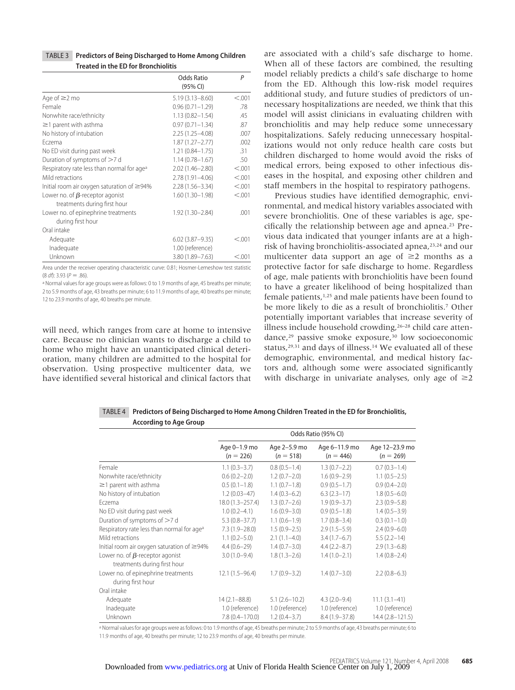| <b>TABLE 3</b> Predictors of Being Discharged to Home Among Children |
|----------------------------------------------------------------------|
| <b>Treated in the ED for Bronchiolitis</b>                           |

|                                                                                                               | <b>Odds Ratio</b><br>(95% CI) | $\mathsf{P}$ |
|---------------------------------------------------------------------------------------------------------------|-------------------------------|--------------|
| Age of $\geq$ 2 mo                                                                                            | $5.19(3.13 - 8.60)$           | < .001       |
| Female                                                                                                        | $0.96(0.71 - 1.29)$           | .78          |
| Nonwhite race/ethnicity                                                                                       | $1.13(0.82 - 1.54)$           | .45          |
| $\geq$ 1 parent with asthma                                                                                   | $0.97(0.71 - 1.34)$           | .87          |
| No history of intubation                                                                                      | 2.25 (1.25-4.08)              | .007         |
| Fczema                                                                                                        | $1.87(1.27 - 2.77)$           | .002         |
| No ED visit during past week                                                                                  | $1.21(0.84 - 1.75)$           | .31          |
| Duration of symptoms of $>7$ d                                                                                | $1.14(0.78 - 1.67)$           | .50          |
| Respiratory rate less than normal for age <sup>a</sup>                                                        | $2.02(1.46 - 2.80)$           | < 0.001      |
| Mild retractions                                                                                              | 2.78 (1.91-4.06)              | < 0.001      |
| Initial room air oxygen saturation of $\geq$ 94%                                                              | $2.28(1.56 - 3.34)$           | < 0.001      |
| Lower no. of $\beta$ -receptor agonist                                                                        | $1.60(1.30 - 1.98)$           | < .001       |
| treatments during first hour                                                                                  |                               |              |
| Lower no. of epinephrine treatments                                                                           | 1.92 (1.30-2.84)              | .001         |
| during first hour                                                                                             |                               |              |
| Oral intake                                                                                                   |                               |              |
| Adequate                                                                                                      | $6.02(3.87 - 9.35)$           | < 0.001      |
| Inadequate                                                                                                    | 1.00 (reference)              |              |
| Unknown                                                                                                       | 3.80 (1.89-7.63)              | < 0.01       |
| A contract of the contract of the contract of the contract of the contract of the contract of the contract of |                               |              |

Area under the receiver operating characteristic curve: 0.81; Hosmer-Lemeshow test statistic  $(8 df)$ : 3.93  $(P = .86)$ .

<sup>a</sup> Normal values for age groups were as follows: 0 to 1.9 months of age, 45 breaths per minute; 2 to 5.9 months of age, 43 breaths per minute; 6 to 11.9 months of age, 40 breaths per minute; 12 to 23.9 months of age, 40 breaths per minute.

will need, which ranges from care at home to intensive care. Because no clinician wants to discharge a child to home who might have an unanticipated clinical deterioration, many children are admitted to the hospital for observation. Using prospective multicenter data, we have identified several historical and clinical factors that are associated with a child's safe discharge to home. When all of these factors are combined, the resulting model reliably predicts a child's safe discharge to home from the ED. Although this low-risk model requires additional study, and future studies of predictors of unnecessary hospitalizations are needed, we think that this model will assist clinicians in evaluating children with bronchiolitis and may help reduce some unnecessary hospitalizations. Safely reducing unnecessary hospitalizations would not only reduce health care costs but children discharged to home would avoid the risks of medical errors, being exposed to other infectious diseases in the hospital, and exposing other children and staff members in the hospital to respiratory pathogens.

Previous studies have identified demographic, environmental, and medical history variables associated with severe bronchiolitis. One of these variables is age, specifically the relationship between age and apnea.23 Previous data indicated that younger infants are at a highrisk of having bronchiolitis-associated apnea,<sup>23,24</sup> and our multicenter data support an age of  $\geq 2$  months as a protective factor for safe discharge to home. Regardless of age, male patients with bronchiolitis have been found to have a greater likelihood of being hospitalized than female patients,1,25 and male patients have been found to be more likely to die as a result of bronchiolitis.7 Other potentially important variables that increase severity of illness include household crowding,26–28 child care attendance,<sup>29</sup> passive smoke exposure,<sup>30</sup> low socioeconomic status,<sup>29,31</sup> and days of illness.<sup>14</sup> We evaluated all of these demographic, environmental, and medical history factors and, although some were associated significantly with discharge in univariate analyses, only age of  $\geq 2$ 

TABLE 4 **Predictors of Being Discharged to Home Among Children Treated in the ED for Bronchiolitis, According to Age Group**

|                                                                        | Odds Ratio (95% CI)         |                             |                              |                               |
|------------------------------------------------------------------------|-----------------------------|-----------------------------|------------------------------|-------------------------------|
|                                                                        | Age 0-1.9 mo<br>$(n = 226)$ | Age 2-5.9 mo<br>$(n = 518)$ | Age 6-11.9 mo<br>$(n = 446)$ | Age 12-23.9 mo<br>$(n = 269)$ |
| Female                                                                 | $1.1(0.3-3.7)$              | $0.8(0.5-1.4)$              | $1.3(0.7 - 2.2)$             | $0.7(0.3-1.4)$                |
| Nonwhite race/ethnicity                                                | $0.6(0.2 - 2.0)$            | $1.2(0.7-2.0)$              | $1.6(0.9 - 2.9)$             | $1.1(0.5-2.5)$                |
| $\geq$ 1 parent with asthma                                            | $0.5(0.1-1.8)$              | $1.1(0.7-1.8)$              | $0.9(0.5-1.7)$               | $0.9(0.4 - 2.0)$              |
| No history of intubation                                               | $1.2(0.03-47)$              | $1.4(0.3-6.2)$              | $6.3(2.3-17)$                | $1.8(0.5 - 6.0)$              |
| Eczema                                                                 | $18.0(1.3 - 257.4)$         | $1.3(0.7-2.6)$              | $1.9(0.9 - 3.7)$             | $2.3(0.9-5.8)$                |
| No ED visit during past week                                           | $1.0(0.2-4.1)$              | $1.6(0.9 - 3.0)$            | $0.9(0.5-1.8)$               | $1.4(0.5-3.9)$                |
| Duration of symptoms of >7 d                                           | $5.3(0.8 - 37.7)$           | $1.1(0.6-1.9)$              | $1.7(0.8 - 3.4)$             | $0.3(0.1-1.0)$                |
| Respiratory rate less than normal for age <sup>a</sup>                 | $7.3(1.9 - 28.0)$           | $1.5(0.9 - 2.5)$            | $2.9(1.5-5.9)$               | $2.4(0.9 - 6.0)$              |
| Mild retractions                                                       | $1.1(0.2 - 5.0)$            | $2.1(1.1-4.0)$              | $3.4(1.7-6.7)$               | $5.5(2.2 - 14)$               |
| Initial room air oxygen saturation of $\geq$ 94%                       | $4.4(0.6-29)$               | $1.4(0.7 - 3.0)$            | $4.4(2.2 - 8.7)$             | $2.9(1.3-6.8)$                |
| Lower no. of $\beta$ -receptor agonist<br>treatments during first hour | $3.0(1.0 - 9.4)$            | $1.8(1.3 - 2.6)$            | $1.4(1.0-2.1)$               | $1.4(0.8-2.4)$                |
| Lower no. of epinephrine treatments<br>during first hour               | $12.1(1.5-96.4)$            | $1.7(0.9 - 3.2)$            | $1.4(0.7 - 3.0)$             | $2.2(0.8-6.3)$                |
| Oral intake                                                            |                             |                             |                              |                               |
| Adequate                                                               | $14(2.1 - 88.8)$            | $5.1(2.6 - 10.2)$           | $4.3(2.0-9.4)$               | $11.1(3.1-41)$                |
| Inadequate                                                             | 1.0 (reference)             | 1.0 (reference)             | 1.0 (reference)              | 1.0 (reference)               |
| Unknown                                                                | $7.8(0.4 - 170.0)$          | $1.2(0.4 - 3.7)$            | $8.4(1.9 - 37.8)$            | 14.4 (2.8-121.5)              |

a Normal values for age groups were as follows: 0 to 1.9 months of age, 45 breaths per minute; 2 to 5.9 months of age, 43 breaths per minute; 6 to 11.9 months of age, 40 breaths per minute; 12 to 23.9 months of age, 40 breaths per minute.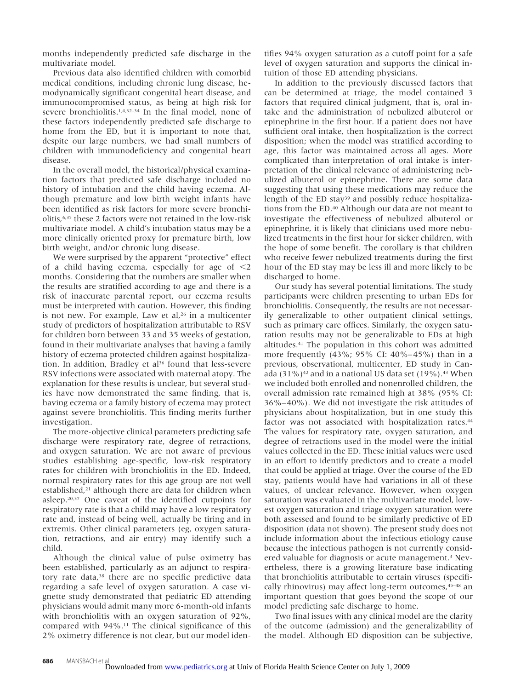months independently predicted safe discharge in the multivariate model.

Previous data also identified children with comorbid medical conditions, including chronic lung disease, hemodynamically significant congenital heart disease, and immunocompromised status, as being at high risk for severe bronchiolitis.1,4,32–34 In the final model, none of these factors independently predicted safe discharge to home from the ED, but it is important to note that, despite our large numbers, we had small numbers of children with immunodeficiency and congenital heart disease.

In the overall model, the historical/physical examination factors that predicted safe discharge included no history of intubation and the child having eczema. Although premature and low birth weight infants have been identified as risk factors for more severe bronchiolitis,6,35 these 2 factors were not retained in the low-risk multivariate model. A child's intubation status may be a more clinically oriented proxy for premature birth, low birth weight, and/or chronic lung disease.

We were surprised by the apparent "protective" effect of a child having eczema, especially for age of  $\leq 2$ months. Considering that the numbers are smaller when the results are stratified according to age and there is a risk of inaccurate parental report, our eczema results must be interpreted with caution. However, this finding is not new. For example, Law et al, $26$  in a multicenter study of predictors of hospitalization attributable to RSV for children born between 33 and 35 weeks of gestation, found in their multivariate analyses that having a family history of eczema protected children against hospitalization. In addition, Bradley et al<sup>36</sup> found that less-severe RSV infections were associated with maternal atopy. The explanation for these results is unclear, but several studies have now demonstrated the same finding, that is, having eczema or a family history of eczema may protect against severe bronchiolitis. This finding merits further investigation.

The more-objective clinical parameters predicting safe discharge were respiratory rate, degree of retractions, and oxygen saturation. We are not aware of previous studies establishing age-specific, low-risk respiratory rates for children with bronchiolitis in the ED. Indeed, normal respiratory rates for this age group are not well established,<sup>21</sup> although there are data for children when asleep.20,37 One caveat of the identified cutpoints for respiratory rate is that a child may have a low respiratory rate and, instead of being well, actually be tiring and in extremis. Other clinical parameters (eg, oxygen saturation, retractions, and air entry) may identify such a child.

Although the clinical value of pulse oximetry has been established, particularly as an adjunct to respiratory rate data,<sup>38</sup> there are no specific predictive data regarding a safe level of oxygen saturation. A case vignette study demonstrated that pediatric ED attending physicians would admit many more 6-month-old infants with bronchiolitis with an oxygen saturation of 92%, compared with 94%.11 The clinical significance of this 2% oximetry difference is not clear, but our model identifies 94% oxygen saturation as a cutoff point for a safe level of oxygen saturation and supports the clinical intuition of those ED attending physicians.

In addition to the previously discussed factors that can be determined at triage, the model contained 3 factors that required clinical judgment, that is, oral intake and the administration of nebulized albuterol or epinephrine in the first hour. If a patient does not have sufficient oral intake, then hospitalization is the correct disposition; when the model was stratified according to age, this factor was maintained across all ages. More complicated than interpretation of oral intake is interpretation of the clinical relevance of administering nebulized albuterol or epinephrine. There are some data suggesting that using these medications may reduce the length of the ED stay<sup>39</sup> and possibly reduce hospitalizations from the ED.40 Although our data are not meant to investigate the effectiveness of nebulized albuterol or epinephrine, it is likely that clinicians used more nebulized treatments in the first hour for sicker children, with the hope of some benefit. The corollary is that children who receive fewer nebulized treatments during the first hour of the ED stay may be less ill and more likely to be discharged to home.

Our study has several potential limitations. The study participants were children presenting to urban EDs for bronchiolitis. Consequently, the results are not necessarily generalizable to other outpatient clinical settings, such as primary care offices. Similarly, the oxygen saturation results may not be generalizable to EDs at high altitudes.41 The population in this cohort was admitted more frequently (43%; 95% CI: 40%– 45%) than in a previous, observational, multicenter, ED study in Canada  $(31\%)$ <sup>42</sup> and in a national US data set  $(19\%)$ .<sup>43</sup> When we included both enrolled and nonenrolled children, the overall admission rate remained high at 38% (95% CI: 36%– 40%). We did not investigate the risk attitudes of physicians about hospitalization, but in one study this factor was not associated with hospitalization rates.<sup>44</sup> The values for respiratory rate, oxygen saturation, and degree of retractions used in the model were the initial values collected in the ED. These initial values were used in an effort to identify predictors and to create a model that could be applied at triage. Over the course of the ED stay, patients would have had variations in all of these values, of unclear relevance. However, when oxygen saturation was evaluated in the multivariate model, lowest oxygen saturation and triage oxygen saturation were both assessed and found to be similarly predictive of ED disposition (data not shown). The present study does not include information about the infectious etiology cause because the infectious pathogen is not currently considered valuable for diagnosis or acute management.3 Nevertheless, there is a growing literature base indicating that bronchiolitis attributable to certain viruses (specifically rhinovirus) may affect long-term outcomes, 45-48 an important question that goes beyond the scope of our model predicting safe discharge to home.

Two final issues with any clinical model are the clarity of the outcome (admission) and the generalizability of the model. Although ED disposition can be subjective,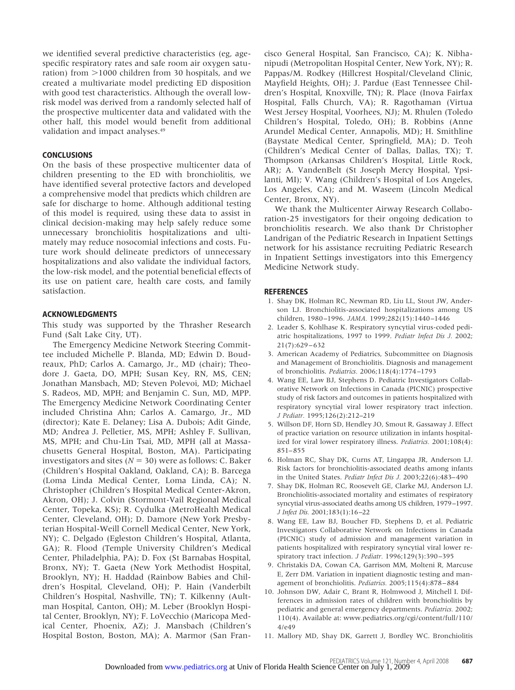we identified several predictive characteristics (eg, agespecific respiratory rates and safe room air oxygen saturation) from  $>$ 1000 children from 30 hospitals, and we created a multivariate model predicting ED disposition with good test characteristics. Although the overall lowrisk model was derived from a randomly selected half of the prospective multicenter data and validated with the other half, this model would benefit from additional validation and impact analyses.49

# **CONCLUSIONS**

On the basis of these prospective multicenter data of children presenting to the ED with bronchiolitis, we have identified several protective factors and developed a comprehensive model that predicts which children are safe for discharge to home. Although additional testing of this model is required, using these data to assist in clinical decision-making may help safely reduce some unnecessary bronchiolitis hospitalizations and ultimately may reduce nosocomial infections and costs. Future work should delineate predictors of unnecessary hospitalizations and also validate the individual factors, the low-risk model, and the potential beneficial effects of its use on patient care, health care costs, and family satisfaction.

# **ACKNOWLEDGMENTS**

This study was supported by the Thrasher Research Fund (Salt Lake City, UT).

The Emergency Medicine Network Steering Committee included Michelle P. Blanda, MD; Edwin D. Boudreaux, PhD; Carlos A. Camargo, Jr., MD (chair); Theodore J. Gaeta, DO, MPH; Susan Key, RN, MS, CEN; Jonathan Mansbach, MD; Steven Polevoi, MD; Michael S. Radeos, MD, MPH; and Benjamin C. Sun, MD, MPP. The Emergency Medicine Network Coordinating Center included Christina Ahn; Carlos A. Camargo, Jr., MD (director); Kate E. Delaney; Lisa A. Dubois; Adit Ginde, MD; Andrea J. Pelletier, MS, MPH; Ashley F. Sullivan, MS, MPH; and Chu-Lin Tsai, MD, MPH (all at Massachusetts General Hospital, Boston, MA). Participating investigators and sites  $(N = 30)$  were as follows: C. Baker (Children's Hospital Oakland, Oakland, CA); B. Barcega (Loma Linda Medical Center, Loma Linda, CA); N. Christopher (Children's Hospital Medical Center-Akron, Akron, OH); J. Colvin (Stormont-Vail Regional Medical Center, Topeka, KS); R. Cydulka (MetroHealth Medical Center, Cleveland, OH); D. Damore (New York Presbyterian Hospital-Weill Cornell Medical Center, New York, NY); C. Delgado (Egleston Children's Hospital, Atlanta, GA); R. Flood (Temple University Children's Medical Center, Philadelphia, PA); D. Fox (St Barnabas Hospital, Bronx, NY); T. Gaeta (New York Methodist Hospital, Brooklyn, NY); H. Haddad (Rainbow Babies and Children's Hospital, Cleveland, OH); P. Hain (Vanderbilt Children's Hospital, Nashville, TN); T. Kilkenny (Aultman Hospital, Canton, OH); M. Leber (Brooklyn Hospital Center, Brooklyn, NY); F. LoVecchio (Maricopa Medical Center, Phoenix, AZ); J. Mansbach (Children's Hospital Boston, Boston, MA); A. Marmor (San Francisco General Hospital, San Francisco, CA); K. Nibhanipudi (Metropolitan Hospital Center, New York, NY); R. Pappas/M. Rodkey (Hillcrest Hospital/Cleveland Clinic, Mayfield Heights, OH); J. Pardue (East Tennessee Children's Hospital, Knoxville, TN); R. Place (Inova Fairfax Hospital, Falls Church, VA); R. Ragothaman (Virtua West Jersey Hospital, Voorhees, NJ); M. Rhulen (Toledo Children's Hospital, Toledo, OH); B. Robbins (Anne Arundel Medical Center, Annapolis, MD); H. Smithline (Baystate Medical Center, Springfield, MA); D. Teoh (Children's Medical Center of Dallas, Dallas, TX); T. Thompson (Arkansas Children's Hospital, Little Rock, AR); A. VandenBelt (St Joseph Mercy Hospital, Ypsilanti, MI); V. Wang (Children's Hospital of Los Angeles, Los Angeles, CA); and M. Waseem (Lincoln Medical Center, Bronx, NY).

We thank the Multicenter Airway Research Collaboration-25 investigators for their ongoing dedication to bronchiolitis research. We also thank Dr Christopher Landrigan of the Pediatric Research in Inpatient Settings network for his assistance recruiting Pediatric Research in Inpatient Settings investigators into this Emergency Medicine Network study.

# **REFERENCES**

- 1. Shay DK, Holman RC, Newman RD, Liu LL, Stout JW, Anderson LJ. Bronchiolitis-associated hospitalizations among US children, 1980 –1996. *JAMA.* 1999;282(15):1440 –1446
- 2. Leader S, Kohlhase K. Respiratory syncytial virus-coded pediatric hospitalizations, 1997 to 1999. *Pediatr Infect Dis J.* 2002;  $21(7):629-632$
- 3. American Academy of Pediatrics, Subcommittee on Diagnosis and Management of Bronchiolitis. Diagnosis and management of bronchiolitis. *Pediatrics.* 2006;118(4):1774 –1793
- 4. Wang EE, Law BJ, Stephens D. Pediatric Investigators Collaborative Network on Infections in Canada (PICNIC) prospective study of risk factors and outcomes in patients hospitalized with respiratory syncytial viral lower respiratory tract infection. *J Pediatr.* 1995;126(2):212–219
- 5. Willson DF, Horn SD, Hendley JO, Smout R, Gassaway J. Effect of practice variation on resource utilization in infants hospitalized for viral lower respiratory illness. *Pediatrics.* 2001;108(4): 851– 855
- 6. Holman RC, Shay DK, Curns AT, Lingappa JR, Anderson LJ. Risk factors for bronchiolitis-associated deaths among infants in the United States. *Pediatr Infect Dis J.* 2003;22(6):483– 490
- 7. Shay DK, Holman RC, Roosevelt GE, Clarke MJ, Anderson LJ. Bronchiolitis-associated mortality and estimates of respiratory syncytial virus-associated deaths among US children, 1979 –1997. *J Infect Dis.* 2001;183(1):16 –22
- 8. Wang EE, Law BJ, Boucher FD, Stephens D, et al. Pediatric Investigators Collaborative Network on Infections in Canada (PICNIC) study of admission and management variation in patients hospitalized with respiratory syncytial viral lower respiratory tract infection. *J Pediatr.* 1996;129(3):390 –395
- 9. Christakis DA, Cowan CA, Garrison MM, Molteni R, Marcuse E, Zerr DM. Variation in inpatient diagnostic testing and management of bronchiolitis. *Pediatrics.* 2005;115(4):878 – 884
- 10. Johnson DW, Adair C, Brant R, Holmwood J, Mitchell I. Differences in admission rates of children with bronchiolitis by pediatric and general emergency departments. *Pediatrics.* 2002; 110(4). Available at: www.pediatrics.org/cgi/content/full/110/ 4/e49
- 11. Mallory MD, Shay DK, Garrett J, Bordley WC. Bronchiolitis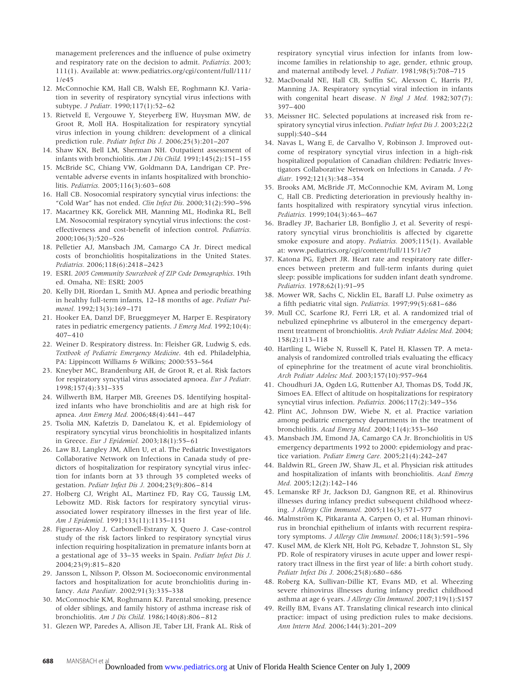management preferences and the influence of pulse oximetry and respiratory rate on the decision to admit. *Pediatrics.* 2003; 111(1). Available at: www.pediatrics.org/cgi/content/full/111/ 1/e45

- 12. McConnochie KM, Hall CB, Walsh EE, Roghmann KJ. Variation in severity of respiratory syncytial virus infections with subtype. *J Pediatr.* 1990;117(1):52-62
- 13. Rietveld E, Vergouwe Y, Steyerberg EW, Huysman MW, de Groot R, Moll HA. Hospitalization for respiratory syncytial virus infection in young children: development of a clinical prediction rule. *Pediatr Infect Dis J.* 2006;25(3):201–207
- 14. Shaw KN, Bell LM, Sherman NH. Outpatient assessment of infants with bronchiolitis. *Am J Dis Child.* 1991;145(2):151–155
- 15. McBride SC, Chiang VW, Goldmann DA, Landrigan CP. Preventable adverse events in infants hospitalized with bronchiolitis. *Pediatrics.* 2005;116(3):603– 608
- 16. Hall CB. Nosocomial respiratory syncytial virus infections: the "Cold War" has not ended. *Clin Infect Dis.* 2000;31(2):590 –596
- 17. Macartney KK, Gorelick MH, Manning ML, Hodinka RL, Bell LM. Nosocomial respiratory syncytial virus infections: the costeffectiveness and cost-benefit of infection control. *Pediatrics.* 2000;106(3):520 –526
- 18. Pelletier AJ, Mansbach JM, Camargo CA Jr. Direct medical costs of bronchiolitis hospitalizations in the United States. *Pediatrics.* 2006;118(6):2418 –2423
- 19. ESRI. *2005 Community Sourcebook of ZIP Code Demographics*. 19th ed. Omaha, NE: ESRI; 2005
- 20. Kelly DH, Riordan L, Smith MJ. Apnea and periodic breathing in healthy full-term infants, 12–18 months of age. *Pediatr Pulmonol.* 1992;13(3):169 –171
- 21. Hooker EA, Danzl DF, Brueggmeyer M, Harper E. Respiratory rates in pediatric emergency patients. *J Emerg Med.* 1992;10(4): 407– 410
- 22. Weiner D. Respiratory distress. In: Fleisher GR, Ludwig S, eds. *Textbook of Pediatric Emergency Medicine*. 4th ed. Philadelphia, PA: Lippincott Williams & Wilkins; 2000:553–564
- 23. Kneyber MC, Brandenburg AH, de Groot R, et al. Risk factors for respiratory syncytial virus associated apnoea. *Eur J Pediatr.* 1998;157(4):331–335
- 24. Willwerth BM, Harper MB, Greenes DS. Identifying hospitalized infants who have bronchiolitis and are at high risk for apnea. *Ann Emerg Med.* 2006;48(4):441– 447
- 25. Tsolia MN, Kafetzis D, Danelatou K, et al. Epidemiology of respiratory syncytial virus bronchiolitis in hospitalized infants in Greece. *Eur J Epidemiol.* 2003;18(1):55– 61
- 26. Law BJ, Langley JM, Allen U, et al. The Pediatric Investigators Collaborative Network on Infections in Canada study of predictors of hospitalization for respiratory syncytial virus infection for infants born at 33 through 35 completed weeks of gestation. *Pediatr Infect Dis J.* 2004;23(9):806 – 814
- 27. Holberg CJ, Wright AL, Martinez FD, Ray CG, Taussig LM, Lebowitz MD. Risk factors for respiratory syncytial virusassociated lower respiratory illnesses in the first year of life. *Am J Epidemiol.* 1991;133(11):1135–1151
- 28. Figueras-Aloy J, Carbonell-Estrany X, Quero J. Case-control study of the risk factors linked to respiratory syncytial virus infection requiring hospitalization in premature infants born at a gestational age of 33–35 weeks in Spain. *Pediatr Infect Dis J.* 2004;23(9):815– 820
- 29. Jansson L, Nilsson P, Olsson M. Socioeconomic environmental factors and hospitalization for acute bronchiolitis during infancy. *Acta Paediatr.* 2002;91(3):335–338
- 30. McConnochie KM, Roghmann KJ. Parental smoking, presence of older siblings, and family history of asthma increase risk of bronchiolitis. *Am J Dis Child.* 1986;140(8):806 – 812
- 31. Glezen WP, Paredes A, Allison JE, Taber LH, Frank AL. Risk of

respiratory syncytial virus infection for infants from lowincome families in relationship to age, gender, ethnic group, and maternal antibody level. *J Pediatr.* 1981;98(5):708 –715

- 32. MacDonald NE, Hall CB, Suffin SC, Alexson C, Harris PJ, Manning JA. Respiratory syncytial viral infection in infants with congenital heart disease. *N Engl J Med.* 1982;307(7):  $397 - 400$
- 33. Meissner HC. Selected populations at increased risk from respiratory syncytial virus infection. *Pediatr Infect Dis J.* 2003;22(2 suppl):S40 –S44
- 34. Navas L, Wang E, de Carvalho V, Robinson J. Improved outcome of respiratory syncytial virus infection in a high-risk hospitalized population of Canadian children: Pediatric Investigators Collaborative Network on Infections in Canada. *J Pediatr.* 1992;121(3):348 –354
- 35. Brooks AM, McBride JT, McConnochie KM, Aviram M, Long C, Hall CB. Predicting deterioration in previously healthy infants hospitalized with respiratory syncytial virus infection. *Pediatrics.* 1999;104(3):463– 467
- 36. Bradley JP, Bacharier LB, Bonfiglio J, et al. Severity of respiratory syncytial virus bronchiolitis is affected by cigarette smoke exposure and atopy. *Pediatrics.* 2005;115(1). Available at: www.pediatrics.org/cgi/content/full/115/1/e7
- 37. Katona PG, Egbert JR. Heart rate and respiratory rate differences between preterm and full-term infants during quiet sleep: possible implications for sudden infant death syndrome. *Pediatrics.* 1978;62(1):91–95
- 38. Mower WR, Sachs C, Nicklin EL, Baraff LJ. Pulse oximetry as a fifth pediatric vital sign. *Pediatrics.* 1997;99(5):681– 686
- 39. Mull CC, Scarfone RJ, Ferri LR, et al. A randomized trial of nebulized epinephrine vs albuterol in the emergency department treatment of bronchiolitis. *Arch Pediatr Adolesc Med.* 2004; 158(2):113–118
- 40. Hartling L, Wiebe N, Russell K, Patel H, Klassen TP. A metaanalysis of randomized controlled trials evaluating the efficacy of epinephrine for the treatment of acute viral bronchiolitis. *Arch Pediatr Adolesc Med.* 2003;157(10):957–964
- 41. Choudhuri JA, Ogden LG, Ruttenber AJ, Thomas DS, Todd JK, Simoes EA. Effect of altitude on hospitalizations for respiratory syncytial virus infection. *Pediatrics.* 2006;117(2):349 –356
- 42. Plint AC, Johnson DW, Wiebe N, et al. Practice variation among pediatric emergency departments in the treatment of bronchiolitis. *Acad Emerg Med.* 2004;11(4):353–360
- 43. Mansbach JM, Emond JA, Camargo CA Jr. Bronchiolitis in US emergency departments 1992 to 2000: epidemiology and practice variation. *Pediatr Emerg Care.* 2005;21(4):242–247
- 44. Baldwin RL, Green JW, Shaw JL, et al. Physician risk attitudes and hospitalization of infants with bronchiolitis. *Acad Emerg Med.* 2005;12(2):142–146
- 45. Lemanske RF Jr, Jackson DJ, Gangnon RE, et al. Rhinovirus illnesses during infancy predict subsequent childhood wheezing. *J Allergy Clin Immunol.* 2005;116(3):571–577
- 46. Malmström K, Pitkaranta A, Carpen O, et al. Human rhinovirus in bronchial epithelium of infants with recurrent respiratory symptoms. *J Allergy Clin Immunol.* 2006;118(3):591–596
- 47. Kusel MM, de Klerk NH, Holt PG, Kebadze T, Johnston SL, Sly PD. Role of respiratory viruses in acute upper and lower respiratory tract illness in the first year of life: a birth cohort study. *Pediatr Infect Dis J.* 2006;25(8):680 – 686
- 48. Roberg KA, Sullivan-Dillie KT, Evans MD, et al. Wheezing severe rhinovirus illnesses during infancy predict childhood asthma at age 6 years. *J Allergy Clin Immunol.* 2007;119(1):S157
- 49. Reilly BM, Evans AT. Translating clinical research into clinical practice: impact of using prediction rules to make decisions. *Ann Intern Med.* 2006;144(3):201–209